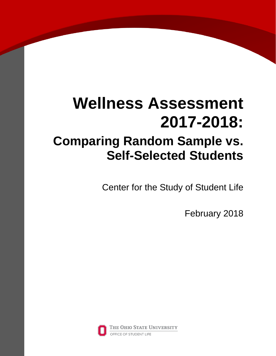# **Wellness Assessment 2017-2018: Comparing Random Sample vs. Self-Selected Students**

Center for the Study of Student Life

February 2018

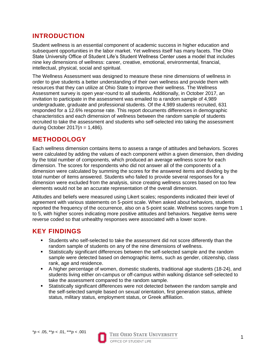## **INTRODUCTION**

Student wellness is an essential component of academic success in higher education and subsequent opportunities in the labor market. Yet wellness itself has many facets. The Ohio State University Office of Student Life's Student Wellness Center uses a model that includes nine key dimensions of wellness: career, creative, emotional, environmental, financial, intellectual, physical, social and spiritual.

The Wellness Assessment was designed to measure these nine dimensions of wellness in order to give students a better understanding of their own wellness and provide them with resources that they can utilize at Ohio State to improve their wellness. The Wellness Assessment survey is open year-round to all students. Additionally, in October 2017, an invitation to participate in the assessment was emailed to a random sample of 4,989 undergraduate, graduate and professional students. Of the 4,989 students recruited, 631 responded for a 12.6% response rate. This report documents differences in demographic characteristics and each dimension of wellness between the random sample of students recruited to take the assessment and students who self-selected into taking the assessment during October 2017(*n* = 1,486).

# **METHODOLOGY**

Each wellness dimension contains items to assess a range of attitudes and behaviors. Scores were calculated by adding the values of each component within a given dimension, then dividing by the total number of components, which produced an average wellness score for each dimension. The scores for respondents who did not answer all of the components of a dimension were calculated by summing the scores for the answered items and dividing by the total number of items answered. Students who failed to provide several responses for a dimension were excluded from the analysis, since creating wellness scores based on too few elements would not be an accurate representation of the overall dimension.

Attitudes and beliefs were measured using Likert scales; respondents indicated their level of agreement with various statements on 5-point scale. When asked about behaviors, students reported the frequency of the occurrence, also on a 5-point scale. Wellness scores range from 1 to 5, with higher scores indicating more positive attitudes and behaviors. Negative items were reverse coded so that unhealthy responses were associated with a lower score.

# **KEY FINDINGS**

- Students who self-selected to take the assessment did not score differently than the random sample of students on any of the nine dimensions of wellness.
- Statistically significant differences between the self-selected sample and the random sample were detected based on demographic items, such as gender, citizenship, class rank, age and residence.
- A higher percentage of women, domestic students, traditional age students (18-24), and students living either on-campus or off-campus within walking distance self-selected to take the assessment compared to the random sample.
- Statistically significant differences were not detected between the random sample and the self-selected sample based on sexual orientation, first generation status, athlete status, military status, employment status, or Greek affiliation.

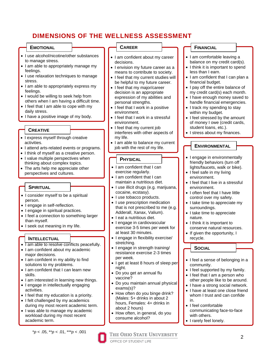# **DIMENSIONS OF THE WELLNESS ASSESSMENT**

#### **EMOTIONAL**

- I use alcohol/nicotine/other substances to manage stress.
- I am able to appropriately manage my feelings.
- I use relaxation techniques to manage stress.
- I am able to appropriately express my feelings.
- I would be willing to seek help from others when I am having a difficult time.
- I feel that I am able to cope with my daily stress.
- I have a positive image of my body.

#### **CREATIVE**

- I express myself through creative activities.
- I attend arts-related events or programs.
- I think of myself as a creative person.
- I value multiple perspectives when thinking about complex topics.
- The arts help me appreciate other perspectives and cultures.

#### **SPIRITUAL**

- I consider myself to be a spiritual person.
- I engage in self-reflection.
- I engage in spiritual practices.
- I feel a connection to something larger than myself.
- I seek out meaning in my life.

#### **INTELLECTUAL**

- Tam able to resolve conflicts peacefully.
- I am confident about my academic major decisions.
- I am confident in my ability to find solutions to my problems.
- I am confident that I can learn new skills.
- I am interested in learning new things.
- I engage in intellectually engaging activities.
- I feel that my education is a priority.
- I felt challenged by my academics during my most recent academic term.
- I was able to manage my academic workload during my most recent academic term.

\**p* < .05, \*\**p* < .01, \*\*\**p* < .001

#### **CAREER**

- I am confident about my career decisions.
- I envision my future career as a means to contribute to society.
- I feel that my current studies will be helpful to my future career.
- I feel that my major/career decision is an appropriate expression of my abilities and personal strengths.
- $\bullet$  I feel that I work in a positive environment.
- I feel that I work in a stressful environment.
- I feel that my current job interferes with other aspects of my life.
- I am able to balance my current job with the rest of my life.

#### **PHYSICAL**

- I am confident that I can exercise regularly.
- I am confident that I can maintain a nutritious diet.
- I use illicit drugs (e.g. marijuana, cocaine, ecstasy).
- I use tobacco products.
- I use prescription medication that is not prescribed to me (e.g. Adderall, Xanax, Valium).
- I eat a nutritious diet.
- I engage in cardiovascular exercise 3-5 times per week for at least 30 minutes.
- I engage in flexibility exercise/ stretching.
- I engage in strength training/ resistance exercise 2-3 times per week.
- I get at least 8 hours of sleep per night.
- Do you get an annual flu vaccine?
- Do you maintain annual physical exams(s)?
- How often do you binge drink? (Males: 5+ drinks in about 2 hours, Females: 4+ drinks in about 2 hours)
- How often, in general, do you consume alcohol?

THE OHIO STATE UNIVERSITY

#### **FINANCIAL**

- I am comfortable leaving a balance on my credit card(s).
- I think it is important to spend less than I earn.
- I am confident that I can plan a financial budget.
- I pay off the entire balance of my credit card(s) each month.
- I have enough money saved to handle financial emergencies.
- I track my spending to stay within my budget.
- I feel stressed by the amount of money I owe (credit cards, student loans, etc.).
- I stress about my finances.

#### **ENVIRONMENTAL**

- I engage in environmentally friendly behaviors (turn off lights/faucets, walk or bike).
- I feel safe in my living environment.
- I feel that I live in a stressful environment.
- I often feel that I have little control over my safety.
- I take time to appreciate my surroundings.
- I take time to appreciate nature.
- I think it is important to conserve natural resources.
- If given the opportunity, I recycle.

**SOCIAL**

- I feel a sense of belonging in a community.
- I feel supported by my family.
- I feel that I am a person who other people like to be around.
- I have a strong social network.
- I have at least one close friend whom I trust and can confide in.
- I feel comfortable communicating face-to-face with others.
- I rarely feel lonely.

OFFICE OF STUDENT LIFE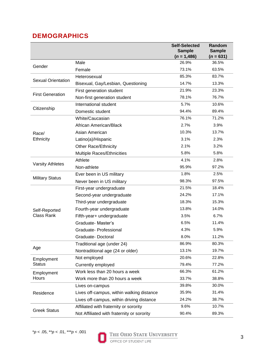# **DEMOGRAPHICS**

|                                    |                                            | <b>Self-Selected</b><br><b>Sample</b> | Random<br><b>Sample</b> |
|------------------------------------|--------------------------------------------|---------------------------------------|-------------------------|
|                                    |                                            | $(n = 1,486)$                         | $(n = 631)$             |
| Gender                             | Male                                       | 26.9%                                 | 36.5%                   |
|                                    | Female                                     | 73.1%                                 | 63.5%                   |
| <b>Sexual Orientation</b>          | Heterosexual                               | 85.3%                                 | 83.7%                   |
|                                    | Bisexual, Gay/Lesbian, Questioning         | 14.7%                                 | 13.3%                   |
| <b>First Generation</b>            | First generation student                   | 21.9%                                 | 23.3%                   |
|                                    | Non-first generation student               | 78.1%                                 | 76.7%                   |
| Citizenship                        | International student                      | 5.7%                                  | 10.6%                   |
|                                    | Domestic student                           | 94.4%                                 | 89.4%                   |
| Race/<br>Ethnicity                 | White/Caucasian                            | 76.1%                                 | 71.2%                   |
|                                    | African American/Black                     | 2.7%                                  | 3.9%                    |
|                                    | Asian American                             | 10.3%                                 | 13.7%                   |
|                                    | Latino(a)/Hispanic                         | 3.1%                                  | 2.3%                    |
|                                    | <b>Other Race/Ethnicity</b>                | 2.1%                                  | 3.2%                    |
|                                    | Multiple Races/Ethnicities                 | 5.8%                                  | 5.8%                    |
| <b>Varsity Athletes</b>            | Athlete                                    | 4.1%                                  | 2.8%                    |
|                                    | Non-athlete                                | 95.9%                                 | 97.2%                   |
| <b>Military Status</b>             | Ever been in US military                   | 1.8%                                  | 2.5%                    |
|                                    | Never been in US military                  | 98.3%                                 | 97.5%                   |
| Self-Reported<br><b>Class Rank</b> | First-year undergraduate                   | 21.5%                                 | 18.4%                   |
|                                    | Second-year undergraduate                  | 24.2%                                 | 17.1%                   |
|                                    | Third-year undergraduate                   | 18.3%                                 | 15.3%                   |
|                                    | Fourth-year undergraduate                  | 13.8%                                 | 14.0%                   |
|                                    | Fifth-year+ undergraduate                  | 3.5%                                  | 6.7%                    |
|                                    | Graduate-Master's                          | 6.5%                                  | 11.4%                   |
|                                    | Graduate- Professional                     | 4.3%                                  | 5.9%                    |
|                                    | Graduate-Doctoral                          | 8.0%                                  | 11.2%                   |
| Age                                | Traditional age (under 24)                 | 86.9%                                 | 80.3%                   |
|                                    | Nontraditional age (24 or older)           | 13.1%                                 | 19.7%                   |
| Employment<br><b>Status</b>        | Not employed                               | 20.6%                                 | 22.8%                   |
|                                    | Currently employed                         | 79.4%                                 | 77.2%                   |
| Employment<br>Hours                | Work less than 20 hours a week             | 66.3%                                 | 61.2%                   |
|                                    | Work more than 20 hours a week             | 33.7%                                 | 38.8%                   |
| Residence                          | Lives on-campus                            | 39.8%                                 | 30.0%                   |
|                                    | Lives off-campus, within walking distance  | 35.9%                                 | 31.4%                   |
|                                    | Lives off-campus, within driving distance  | 24.2%                                 | 38.7%                   |
| <b>Greek Status</b>                | Affiliated with fraternity or sorority     | 9.6%                                  | 10.7%                   |
|                                    | Not Affiliated with fraternity or sorority | 90.4%                                 | 89.3%                   |